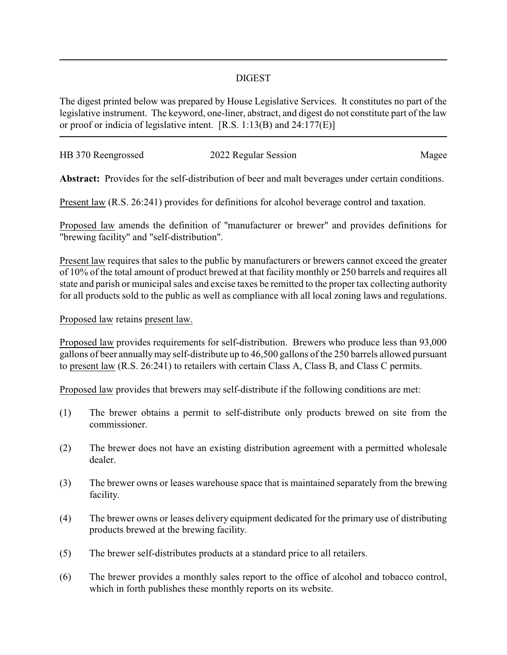## DIGEST

The digest printed below was prepared by House Legislative Services. It constitutes no part of the legislative instrument. The keyword, one-liner, abstract, and digest do not constitute part of the law or proof or indicia of legislative intent. [R.S. 1:13(B) and 24:177(E)]

| HB 370 Reengrossed | 2022 Regular Session | Magee |
|--------------------|----------------------|-------|
|                    |                      |       |

**Abstract:** Provides for the self-distribution of beer and malt beverages under certain conditions.

Present law (R.S. 26:241) provides for definitions for alcohol beverage control and taxation.

Proposed law amends the definition of "manufacturer or brewer" and provides definitions for "brewing facility" and "self-distribution".

Present law requires that sales to the public by manufacturers or brewers cannot exceed the greater of 10% of the total amount of product brewed at that facility monthly or 250 barrels and requires all state and parish or municipal sales and excise taxes be remitted to the proper tax collecting authority for all products sold to the public as well as compliance with all local zoning laws and regulations.

## Proposed law retains present law.

Proposed law provides requirements for self-distribution. Brewers who produce less than 93,000 gallons of beer annuallymay self-distribute up to 46,500 gallons of the 250 barrels allowed pursuant to present law (R.S. 26:241) to retailers with certain Class A, Class B, and Class C permits.

Proposed law provides that brewers may self-distribute if the following conditions are met:

- (1) The brewer obtains a permit to self-distribute only products brewed on site from the commissioner.
- (2) The brewer does not have an existing distribution agreement with a permitted wholesale dealer.
- (3) The brewer owns or leases warehouse space that is maintained separately from the brewing facility.
- (4) The brewer owns or leases delivery equipment dedicated for the primary use of distributing products brewed at the brewing facility.
- (5) The brewer self-distributes products at a standard price to all retailers.
- (6) The brewer provides a monthly sales report to the office of alcohol and tobacco control, which in forth publishes these monthly reports on its website.